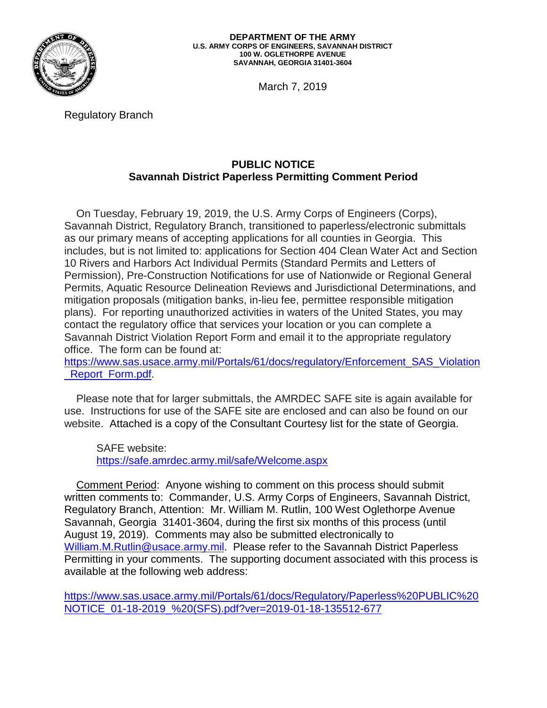

**DEPARTMENT OF THE ARMY U.S. ARMY CORPS OF ENGINEERS, SAVANNAH DISTRICT 100 W. OGLETHORPE AVENUE SAVANNAH, GEORGIA 31401-3604**

March 7, 2019

Regulatory Branch

# **PUBLIC NOTICE Savannah District Paperless Permitting Comment Period**

 On Tuesday, February 19, 2019, the U.S. Army Corps of Engineers (Corps), Savannah District, Regulatory Branch, transitioned to paperless/electronic submittals as our primary means of accepting applications for all counties in Georgia. This includes, but is not limited to: applications for Section 404 Clean Water Act and Section 10 Rivers and Harbors Act Individual Permits (Standard Permits and Letters of Permission), Pre-Construction Notifications for use of Nationwide or Regional General Permits, Aquatic Resource Delineation Reviews and Jurisdictional Determinations, and mitigation proposals (mitigation banks, in-lieu fee, permittee responsible mitigation plans). For reporting unauthorized activities in waters of the United States, you may contact the regulatory office that services your location or you can complete a Savannah District Violation Report Form and email it to the appropriate regulatory office. The form can be found at:

[https://www.sas.usace.army.mil/Portals/61/docs/regulatory/Enforcement\\_SAS\\_Violation](https://www.sas.usace.army.mil/Portals/61/docs/regulatory/Enforcement_SAS_Violation_Report_Form.pdf) Report\_Form.pdf.

 Please note that for larger submittals, the AMRDEC SAFE site is again available for use. Instructions for use of the SAFE site are enclosed and can also be found on our website. Attached is a copy of the Consultant Courtesy list for the state of Georgia.

SAFE website: <https://safe.amrdec.army.mil/safe/Welcome.aspx>

 Comment Period: Anyone wishing to comment on this process should submit written comments to: Commander, U.S. Army Corps of Engineers, Savannah District, Regulatory Branch, Attention: Mr. William M. Rutlin, 100 West Oglethorpe Avenue Savannah, Georgia 31401-3604, during the first six months of this process (until August 19, 2019). Comments may also be submitted electronically to [William.M.Rutlin@usace.army.mil.](mailto:William.M.Rutlin@usace.army.mil) Please refer to the Savannah District Paperless Permitting in your comments. The supporting document associated with this process is available at the following web address:

[https://www.sas.usace.army.mil/Portals/61/docs/Regulatory/Paperless%20PUBLIC%20](https://www.sas.usace.army.mil/Portals/61/docs/Regulatory/Paperless%20PUBLIC%20NOTICE_01-18-2019_%20(SFS).pdf?ver=2019-01-18-135512-677) [NOTICE\\_01-18-2019\\_%20\(SFS\).pdf?ver=2019-01-18-135512-677](https://www.sas.usace.army.mil/Portals/61/docs/Regulatory/Paperless%20PUBLIC%20NOTICE_01-18-2019_%20(SFS).pdf?ver=2019-01-18-135512-677)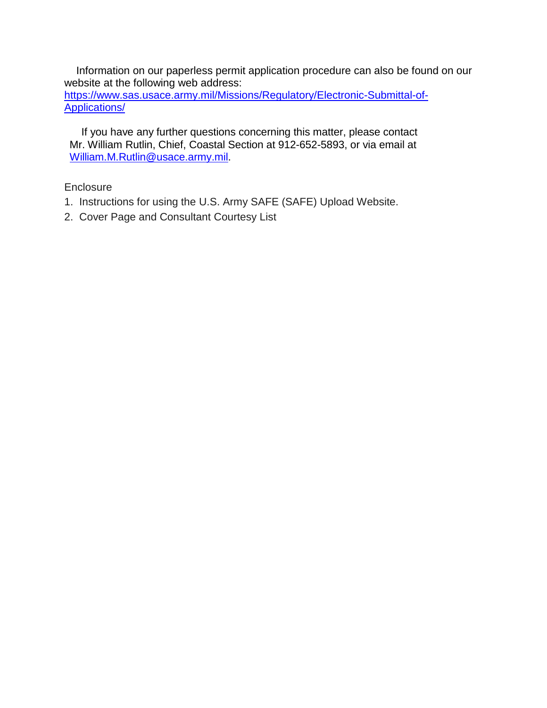Information on our paperless permit application procedure can also be found on our website at the following web address: [https://www.sas.usace.army.mil/Missions/Regulatory/Electronic-Submittal-of-](https://www.sas.usace.army.mil/Missions/Regulatory/Electronic-Submittal-of-Applications/)

[Applications/](https://www.sas.usace.army.mil/Missions/Regulatory/Electronic-Submittal-of-Applications/)

 If you have any further questions concerning this matter, please contact Mr. William Rutlin, Chief, Coastal Section at 912-652-5893, or via email at [William.M.Rutlin@usace.army.mil.](mailto:William.M.Rutlin@usace.army.mil)

# **Enclosure**

- 1. Instructions for using the U.S. Army SAFE (SAFE) Upload Website.
- 2. Cover Page and Consultant Courtesy List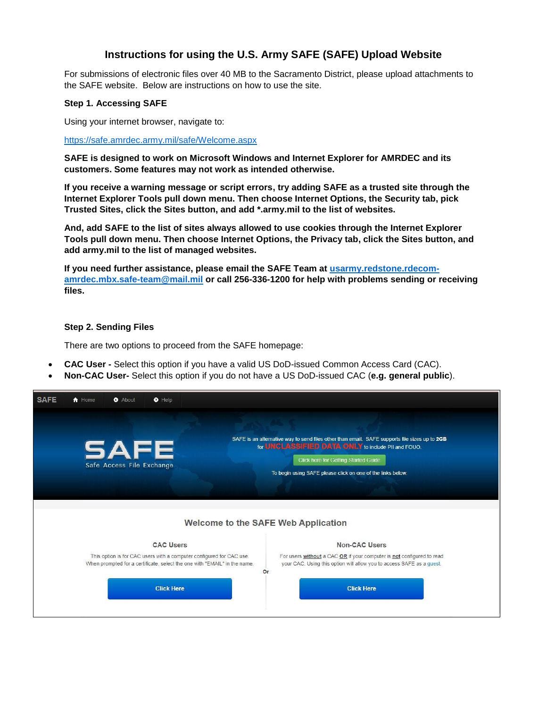# **Instructions for using the U.S. Army SAFE (SAFE) Upload Website**

For submissions of electronic files over 40 MB to the Sacramento District, please upload attachments to the SAFE website. Below are instructions on how to use the site.

#### **Step 1. Accessing SAFE**

Using your internet browser, navigate to:

<https://safe.amrdec.army.mil/safe/Welcome.aspx>

**SAFE is designed to work on Microsoft Windows and Internet Explorer for AMRDEC and its customers. Some features may not work as intended otherwise.** 

**If you receive a warning message or script errors, try adding SAFE as a trusted site through the Internet Explorer Tools pull down menu. Then choose Internet Options, the Security tab, pick Trusted Sites, click the Sites button, and add \*.army.mil to the list of websites.** 

**And, add SAFE to the list of sites always allowed to use cookies through the Internet Explorer Tools pull down menu. Then choose Internet Options, the Privacy tab, click the Sites button, and add army.mil to the list of managed websites.** 

**If you need further assistance, please email the SAFE Team at [usarmy.redstone.rdecom](mailto:usarmy.redstone.rdecom-amrdec.mbx.safe-team@mail.mil)[amrdec.mbx.safe-team@mail.mil](mailto:usarmy.redstone.rdecom-amrdec.mbx.safe-team@mail.mil) or call 256-336-1200 for help with problems sending or receiving files.** 

#### **Step 2. Sending Files**

There are two options to proceed from the SAFE homepage:

- **CAC User** Select this option if you have a valid US DoD-issued Common Access Card (CAC).
- **Non-CAC User-** Select this option if you do not have a US DoD-issued CAC (**e.g. general public**).

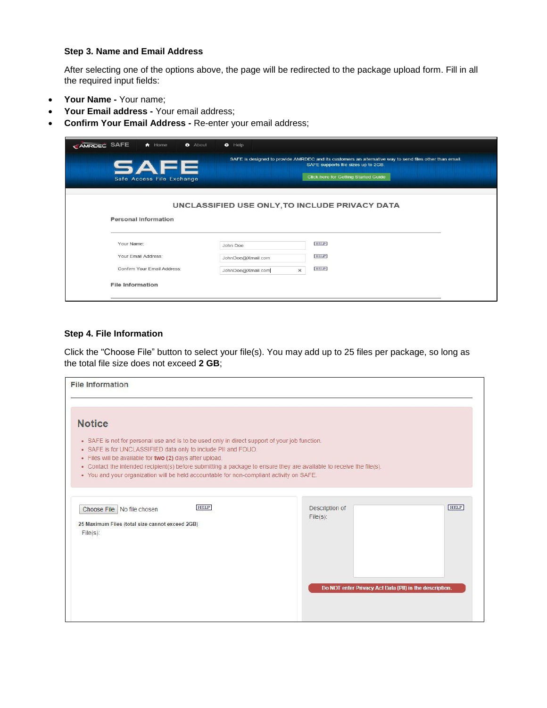#### **Step 3. Name and Email Address**

After selecting one of the options above, the page will be redirected to the package upload form. Fill in all the required input fields:

- **Your Name** Your name;
- Your Email address Your email address;
- **Confirm Your Email Address** Re-enter your email address;

| CAMRDEC SAFE<br>$\bigwedge$ Home<br><b>O</b> About | $\bullet$ Help                                 |                                                                                                                                                                                        |
|----------------------------------------------------|------------------------------------------------|----------------------------------------------------------------------------------------------------------------------------------------------------------------------------------------|
| <b>SAFE</b><br>Safe Access File Exchange           |                                                | SAFE is designed to provide AMRDEC and its customers an alternative way to send files other than email.<br>SAFE supports file sizes up to 2GB.<br>Click here for Getting Started Guide |
| <b>Personal Information</b>                        | UNCLASSIFIED USE ONLY, TO INCLUDE PRIVACY DATA |                                                                                                                                                                                        |
|                                                    |                                                |                                                                                                                                                                                        |
| Your Name:                                         | John Doe                                       | <b>HELP</b>                                                                                                                                                                            |
| Your Email Address:                                | JohnDoe@Xmail.com                              | <b>HELP</b>                                                                                                                                                                            |
| Confirm Your Email Address:                        | JohnDoe@Xmail.com<br>$\times$                  | <b>HELP</b>                                                                                                                                                                            |
| <b>File Information</b>                            |                                                |                                                                                                                                                                                        |

#### **Step 4. File Information**

Click the "Choose File" button to select your file(s). You may add up to 25 files per package, so long as the total file size does not exceed **2 GB**;

| • SAFE is not for personal use and is to be used only in direct support of your job function. |                                                                                                                                                                                                                                                                             |
|-----------------------------------------------------------------------------------------------|-----------------------------------------------------------------------------------------------------------------------------------------------------------------------------------------------------------------------------------------------------------------------------|
|                                                                                               |                                                                                                                                                                                                                                                                             |
|                                                                                               |                                                                                                                                                                                                                                                                             |
| Description of<br>$File(s)$ :                                                                 | <b>HELP</b>                                                                                                                                                                                                                                                                 |
|                                                                                               |                                                                                                                                                                                                                                                                             |
|                                                                                               | • Contact the intended recipient(s) before submitting a package to ensure they are available to receive the file(s).<br>. You and your organization will be held accountable for non-compliant activity on SAFE.<br>Do NOT enter Privacy Act Data (PII) in the description. |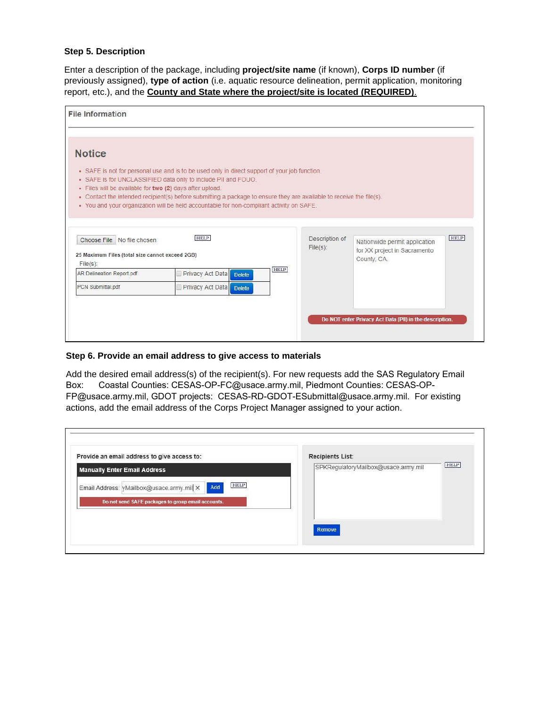#### **Step 5. Description**

Enter a description of the package, including **project/site name** (if known), **Corps ID number** (if previously assigned), **type of action** (i.e. aquatic resource delineation, permit application, monitoring report, etc.), and the **County and State where the project/site is located (REQUIRED)**.

| <b>Notice</b>                                                                                                                             |                                                                                                                                                                                                                                                                                                                                                                                                   |                               |                                                                              |             |
|-------------------------------------------------------------------------------------------------------------------------------------------|---------------------------------------------------------------------------------------------------------------------------------------------------------------------------------------------------------------------------------------------------------------------------------------------------------------------------------------------------------------------------------------------------|-------------------------------|------------------------------------------------------------------------------|-------------|
| · Files will be available for two (2) days after upload.<br>Choose File No file chosen<br>25 Maximum Files (total size cannot exceed 2GB) | • SAFE is not for personal use and is to be used only in direct support of your job function.<br>• SAFE is for UNCLASSIFIED data only to include PII and FOUO.<br>• Contact the intended recipient(s) before submitting a package to ensure they are available to receive the file(s).<br>. You and your organization will be held accountable for non-compliant activity on SAFE.<br><b>HELP</b> | Description of<br>$File(s)$ : | Nationwide permit application<br>for XX project in Sacramento<br>County, CA. | <b>HELP</b> |
| $File(s)$ :<br><b>AR Delineation Report pdf</b>                                                                                           | Privacy Act Data Delete                                                                                                                                                                                                                                                                                                                                                                           | <b>HELP</b>                   |                                                                              |             |
| PCN Submittal.pdf                                                                                                                         | Privacy Act Data Delete                                                                                                                                                                                                                                                                                                                                                                           |                               |                                                                              |             |
|                                                                                                                                           |                                                                                                                                                                                                                                                                                                                                                                                                   |                               | Do NOT enter Privacy Act Data (PII) in the description.                      |             |

#### **Step 6. Provide an email address to give access to materials**

Add the desired email address(s) of the recipient(s). For new requests add the SAS Regulatory Email Box: Coastal Counties: CESAS-OP-FC@usace.army.mil, Piedmont Counties: CESAS-OP-FP@usace.army.mil, GDOT projects: CESAS-RD-GDOT-ESubmittal@usace.army.mil. For existing actions, add the email address of the Corps Project Manager assigned to your action.

| Provide an email address to give access to:                                                                                                                 | <b>Recipients List:</b>             |             |
|-------------------------------------------------------------------------------------------------------------------------------------------------------------|-------------------------------------|-------------|
| <b>Manually Enter Email Address</b><br><b>HELP</b><br>Add<br>Email Address: yMailbox@usace.army.mil X<br>Do not send SAFE packages to group email accounts. | SPKRegulatoryMailbox@usace.army.mil | <b>HELP</b> |
|                                                                                                                                                             | Remove                              |             |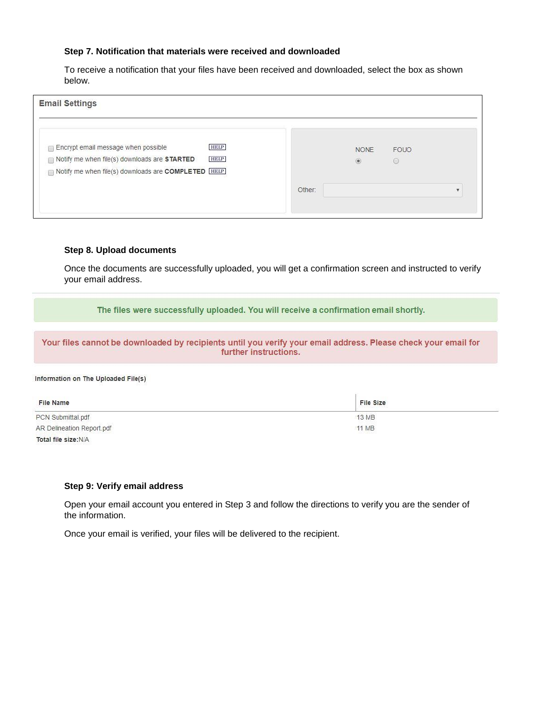#### **Step 7. Notification that materials were received and downloaded**

To receive a notification that your files have been received and downloaded, select the box as shown below.

|        | <b>SCOTT CONTRACTOR</b><br><b>NONE</b><br>$^{\circ}$ | FOUO<br>O |  |
|--------|------------------------------------------------------|-----------|--|
| Other: |                                                      |           |  |
|        |                                                      |           |  |

#### **Step 8. Upload documents**

Once the documents are successfully uploaded, you will get a confirmation screen and instructed to verify your email address.

The files were successfully uploaded. You will receive a confirmation email shortly.

Your files cannot be downloaded by recipients until you verify your email address. Please check your email for further instructions.

#### Information on The Uploaded File(s)

| File Name                 | File Size |
|---------------------------|-----------|
| PCN Submittal.pdf         | 13 MB     |
| AR Delineation Report.pdf | 11 MB     |
| Total file size:N/A       |           |

#### **Step 9: Verify email address**

Open your email account you entered in Step 3 and follow the directions to verify you are the sender of the information.

Once your email is verified, your files will be delivered to the recipient.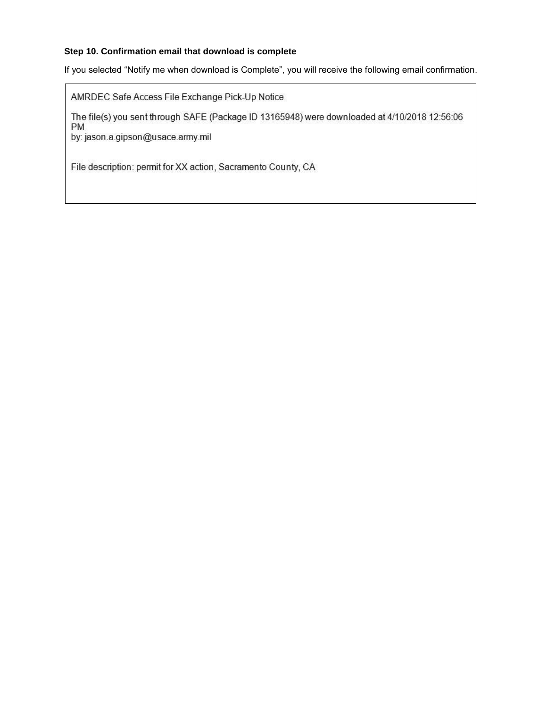#### **Step 10. Confirmation email that download is complete**

If you selected "Notify me when download is Complete", you will receive the following email confirmation.

AMRDEC Safe Access File Exchange Pick-Up Notice

The file(s) you sent through SAFE (Package ID 13165948) were downloaded at 4/10/2018 12:56:06 **PM** 

by: jason.a.gipson@usace.army.mil

File description: permit for XX action, Sacramento County, CA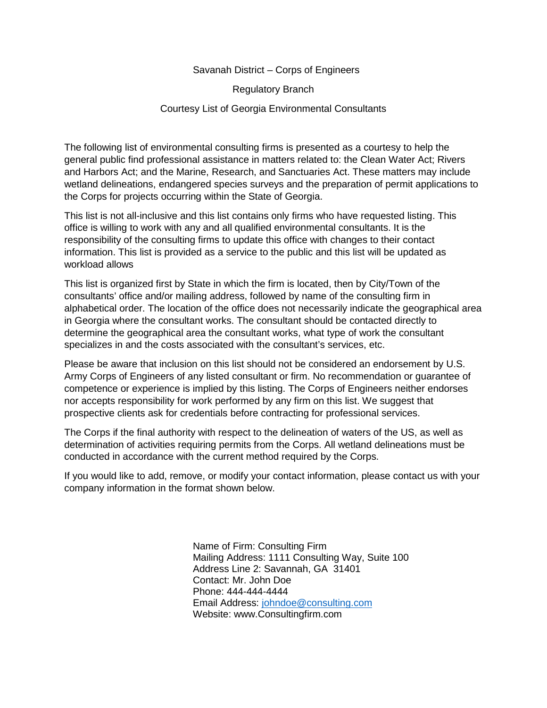#### Savanah District – Corps of Engineers

Regulatory Branch

#### Courtesy List of Georgia Environmental Consultants

The following list of environmental consulting firms is presented as a courtesy to help the general public find professional assistance in matters related to: the Clean Water Act; Rivers and Harbors Act; and the Marine, Research, and Sanctuaries Act. These matters may include wetland delineations, endangered species surveys and the preparation of permit applications to the Corps for projects occurring within the State of Georgia.

This list is not all-inclusive and this list contains only firms who have requested listing. This office is willing to work with any and all qualified environmental consultants. It is the responsibility of the consulting firms to update this office with changes to their contact information. This list is provided as a service to the public and this list will be updated as workload allows

This list is organized first by State in which the firm is located, then by City/Town of the consultants' office and/or mailing address, followed by name of the consulting firm in alphabetical order. The location of the office does not necessarily indicate the geographical area in Georgia where the consultant works. The consultant should be contacted directly to determine the geographical area the consultant works, what type of work the consultant specializes in and the costs associated with the consultant's services, etc.

Please be aware that inclusion on this list should not be considered an endorsement by U.S. Army Corps of Engineers of any listed consultant or firm. No recommendation or guarantee of competence or experience is implied by this listing. The Corps of Engineers neither endorses nor accepts responsibility for work performed by any firm on this list. We suggest that prospective clients ask for credentials before contracting for professional services.

The Corps if the final authority with respect to the delineation of waters of the US, as well as determination of activities requiring permits from the Corps. All wetland delineations must be conducted in accordance with the current method required by the Corps.

If you would like to add, remove, or modify your contact information, please contact us with your company information in the format shown below.

> Name of Firm: Consulting Firm Mailing Address: 1111 Consulting Way, Suite 100 Address Line 2: Savannah, GA 31401 Contact: Mr. John Doe Phone: 444-444-4444 Email Address: [johndoe@consulting.com](mailto:johndoe@consulting.com) Website: www.Consultingfirm.com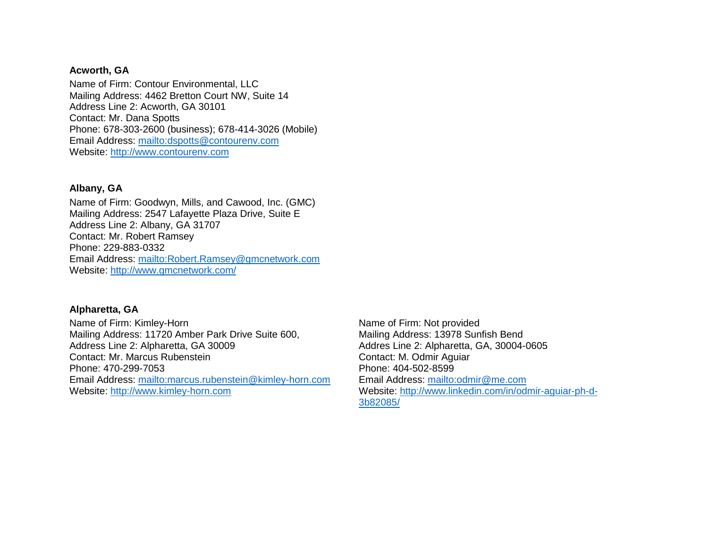#### **Acworth, GA**

Name of Firm: Contour Environmental, LLC Mailing Address: 4462 Bretton Court NW, Suite 14 Address Line 2: Acworth, GA 30101 Contact: Mr. Dana Spotts Phone: 678-303-2600 (business); 678-414-3026 (Mobile) Email Address:<mailto:dspotts@contourenv.com> Website: [http://www.contourenv.com](http://www.contourenv.com/)

#### **Albany, GA**

Name of Firm: Goodwyn, Mills, and Cawood, Inc. (GMC) Mailing Address: 2547 Lafayette Plaza Drive, Suite E Address Line 2: Albany, GA 31707 Contact: Mr. Robert Ramsey Phone: 229-883-0332 Email Address:<mailto:Robert.Ramsey@gmcnetwork.com> Website:<http://www.gmcnetwork.com/>

## **Alpharetta, GA**

Name of Firm: Kimley-Horn Mailing Address: 11720 Amber Park Drive Suite 600, Address Line 2: Alpharetta, GA 30009 Contact: Mr. Marcus Rubenstein Phone: 470-299-7053 Email Address:<mailto:marcus.rubenstein@kimley-horn.com> Website: [http://www.kimley-horn.com](http://www.kimley-horn.com/)

Name of Firm: Not provided Mailing Address: 13978 Sunfish Bend Addres Line 2: Alpharetta, GA, 30004-0605 Contact: M. Odmir Aguiar Phone: 404-502-8599 Email Address:<mailto:odmir@me.com> Website: [http://www.linkedin.com/in/odmir-aguiar-ph-d-](http://www.linkedin.com/in/odmir-aguiar-ph-d-3b82085/)[3b82085/](http://www.linkedin.com/in/odmir-aguiar-ph-d-3b82085/)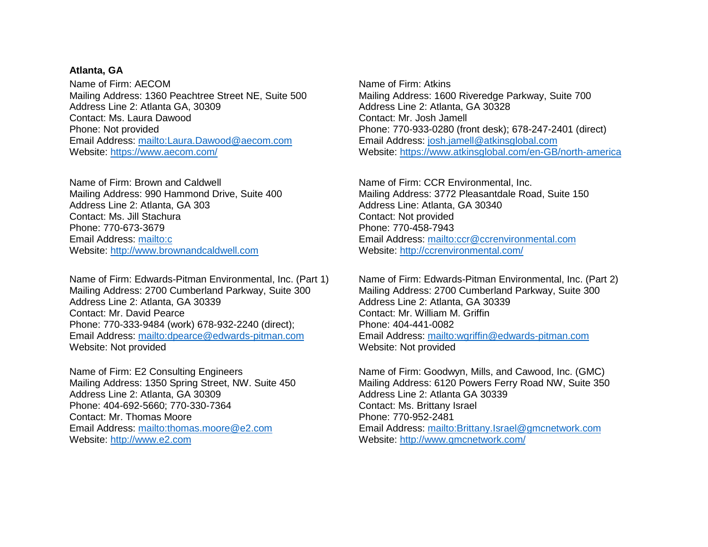#### **Atlanta, GA**

Name of Firm: AECOM Mailing Address: 1360 Peachtree Street NE, Suite 500 Address Line 2: Atlanta GA, 30309 Contact: Ms. Laura Dawood Phone: Not provided Email Address:<mailto:Laura.Dawood@aecom.com> Website:<https://www.aecom.com/>

Name of Firm: Brown and Caldwell Mailing Address: 990 Hammond Drive, Suite 400 Address Line 2: Atlanta, GA 303 Contact: Ms. Jill Stachura Phone: 770-673-3679 Email Address:<mailto:c> Website: [http://www.brownandcaldwell.com](http://www.brownandcaldwell.com/)

Name of Firm: Edwards-Pitman Environmental, Inc. (Part 1) Mailing Address: 2700 Cumberland Parkway, Suite 300 Address Line 2: Atlanta, GA 30339 Contact: Mr. David Pearce Phone: 770-333-9484 (work) 678-932-2240 (direct); Email Address:<mailto:dpearce@edwards-pitman.com> Website: Not provided

Name of Firm: E2 Consulting Engineers Mailing Address: 1350 Spring Street, NW. Suite 450 Address Line 2: Atlanta, GA 30309 Phone: 404-692-5660; 770-330-7364 Contact: Mr. Thomas Moore Email Address:<mailto:thomas.moore@e2.com> Website: [http://www.e2.com](http://www.e2.com/)

Name of Firm: Atkins Mailing Address: 1600 Riveredge Parkway, Suite 700 Address Line 2: Atlanta, GA 30328 Contact: Mr. Josh Jamell Phone: 770-933-0280 (front desk); 678-247-2401 (direct) Email Address: [josh.jamell@atkinsglobal.com](mailto:josh.jamell@atkinsglobal.com) Website:<https://www.atkinsglobal.com/en-GB/north-america>

Name of Firm: CCR Environmental, Inc. Mailing Address: 3772 Pleasantdale Road, Suite 150 Address Line: Atlanta, GA 30340 Contact: Not provided Phone: 770-458-7943 Email Address:<mailto:ccr@ccrenvironmental.com> Website:<http://ccrenvironmental.com/>

Name of Firm: Edwards-Pitman Environmental, Inc. (Part 2) Mailing Address: 2700 Cumberland Parkway, Suite 300 Address Line 2: Atlanta, GA 30339 Contact: Mr. William M. Griffin Phone: 404-441-0082 Email Address:<mailto:wgriffin@edwards-pitman.com> Website: Not provided

Name of Firm: Goodwyn, Mills, and Cawood, Inc. (GMC) Mailing Address: 6120 Powers Ferry Road NW, Suite 350 Address Line 2: Atlanta GA 30339 Contact: Ms. Brittany Israel Phone: 770-952-2481 Email Address:<mailto:Brittany.Israel@gmcnetwork.com> Website:<http://www.gmcnetwork.com/>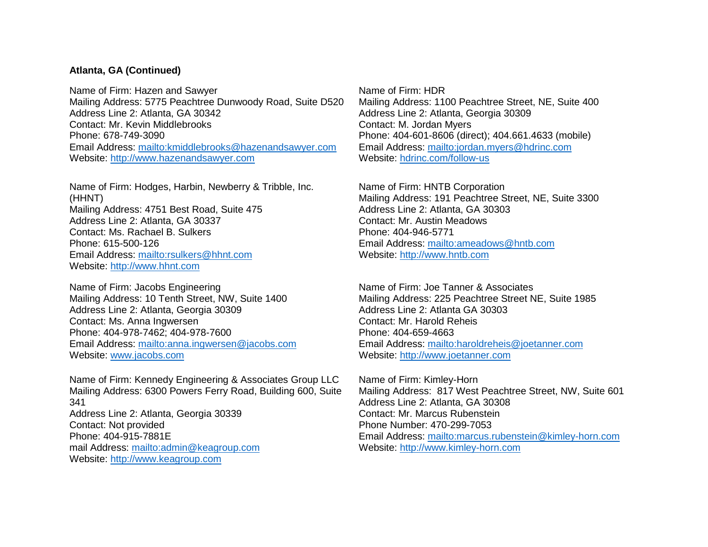### **Atlanta, GA (Continued)**

Name of Firm: Hazen and Sawyer Mailing Address: 5775 Peachtree Dunwoody Road, Suite D520 Address Line 2: Atlanta, GA 30342 Contact: Mr. Kevin Middlebrooks Phone: 678-749-3090 Email Address:<mailto:kmiddlebrooks@hazenandsawyer.com> Website: [http://www.hazenandsawyer.com](http://www.hazenandsawyer.com/)

Name of Firm: Hodges, Harbin, Newberry & Tribble, Inc. (HHNT) Mailing Address: 4751 Best Road, Suite 475 Address Line 2: Atlanta, GA 30337 Contact: Ms. Rachael B. Sulkers Phone: 615-500-126 Email Address:<mailto:rsulkers@hhnt.com> Website: [http://www.hhnt.com](http://www.hhnt.com/)

Name of Firm: Jacobs Engineering Mailing Address: 10 Tenth Street, NW, Suite 1400 Address Line 2: Atlanta, Georgia 30309 Contact: Ms. Anna Ingwersen Phone: 404-978-7462; 404-978-7600 Email Address:<mailto:anna.ingwersen@jacobs.com> Website: www.jacobs.com

Name of Firm: Kennedy Engineering & Associates Group LLC Mailing Address: 6300 Powers Ferry Road, Building 600, Suite 341 Address Line 2: Atlanta, Georgia 30339 Contact: Not provided Phone: 404-915-7881E mail Address:<mailto:admin@keagroup.com> Website: [http://www.keagroup.com](http://www.keagroup.com/)

Name of Firm: HDR Mailing Address: 1100 Peachtree Street, NE, Suite 400 Address Line 2: Atlanta, Georgia 30309 Contact: M. Jordan Myers Phone: 404-601-8606 (direct); 404.661.4633 (mobile) Email Address:<mailto:jordan.myers@hdrinc.com> Website: [hdrinc.com/follow-us](http://www.hdrinc.com/follow-us)

Name of Firm: HNTB Corporation Mailing Address: 191 Peachtree Street, NE, Suite 3300 Address Line 2: Atlanta, GA 30303 Contact: Mr. Austin Meadows Phone: 404-946-5771 Email Address:<mailto:ameadows@hntb.com> Website: [http://www.hntb.com](http://www.hntb.com/)

Name of Firm: Joe Tanner & Associates Mailing Address: 225 Peachtree Street NE, Suite 1985 Address Line 2: Atlanta GA 30303 Contact: Mr. Harold Reheis Phone: 404-659-4663 Email Address:<mailto:haroldreheis@joetanner.com> Website: [http://www.joetanner.com](http://www.joetanner.com/)

Name of Firm: Kimley-Horn Mailing Address: 817 West Peachtree Street, NW, Suite 601 Address Line 2: Atlanta, GA 30308 Contact: Mr. Marcus Rubenstein Phone Number: 470-299-7053 Email Address:<mailto:marcus.rubenstein@kimley-horn.com> Website: [http://www.kimley-horn.com](http://www.kimley-horn.com/)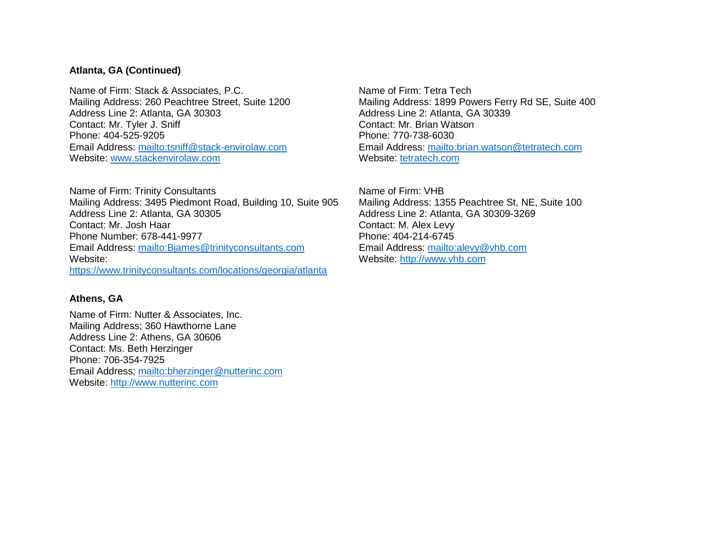### **Atlanta, GA (Continued)**

Name of Firm: Stack & Associates, P.C. Mailing Address: 260 Peachtree Street, Suite 1200 Address Line 2: Atlanta, GA 30303 Contact: Mr. Tyler J. Sniff Phone: 404-525-9205 Email Address:<mailto:tsniff@stack-envirolaw.com> Website: www.stackenvirolaw.com

Name of Firm: Trinity Consultants Mailing Address: 3495 Piedmont Road, Building 10, Suite 905 Address Line 2: Atlanta, GA 30305 Contact: Mr. Josh Haar Phone Number: 678-441-9977 Email Address:<mailto:Bjames@trinityconsultants.com> Website: <https://www.trinityconsultants.com/locations/georgia/atlanta>

## **Athens, GA**

Name of Firm: Nutter & Associates, Inc. Mailing Address; 360 Hawthorne Lane Address Line 2: Athens, GA 30606 Contact: Ms. Beth Herzinger Phone: 706-354-7925 Email Address;<mailto:bherzinger@nutterinc.com> Website: [http://www.nutterinc.com](http://www.nutterinc.com/)

Name of Firm: Tetra Tech Mailing Address: 1899 Powers Ferry Rd SE, Suite 400 Address Line 2: Atlanta, GA 30339 Contact: Mr. Brian Watson Phone: 770-738-6030 Email Address:<mailto:brian.watson@tetratech.com> Website: [tetratech.com](http://www.tetratech.com/)

Name of Firm: VHB Mailing Address: 1355 Peachtree St, NE, Suite 100 Address Line 2: Atlanta, GA 30309-3269 Contact: M. Alex Levy Phone: 404-214-6745 Email Address:<mailto:alevy@vhb.com> Website: [http://www.vhb.com](http://www.vhb.com/)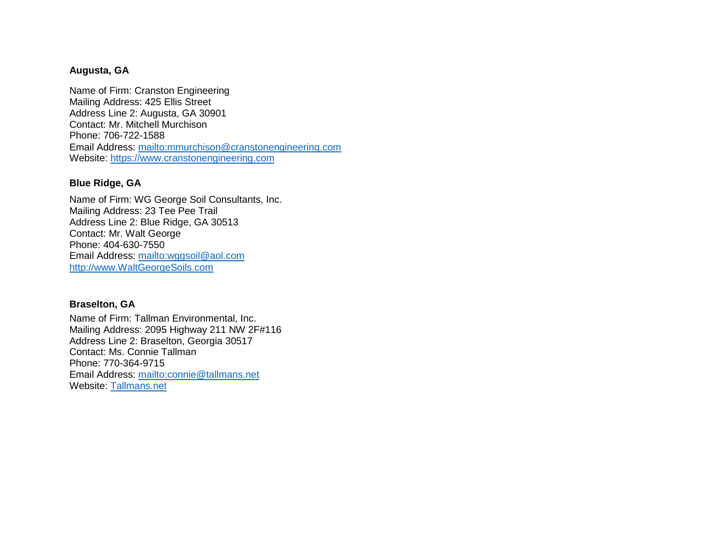### **Augusta, GA**

Name of Firm: Cranston Engineering Mailing Address: 425 Ellis Street Address Line 2: Augusta, GA 30901 Contact: Mr. Mitchell Murchison Phone: 706-722-1588 Email Address:<mailto:mmurchison@cranstonengineering.com> Website: [https://www.cranstonengineering.com](https://www.cranstonengineering.com/)

### **Blue Ridge, GA**

Name of Firm: WG George Soil Consultants, Inc. Mailing Address: 23 Tee Pee Trail Address Line 2: Blue Ridge, GA 30513 Contact: Mr. Walt George Phone: 404-630-7550 Email Address:<mailto:wggsoil@aol.com> [http://www.WaltGeorgeSoils.com](http://www.waltgeorgesoils.com/)

### **Braselton, GA**

Name of Firm: Tallman Environmental, Inc. Mailing Address: 2095 Highway 211 NW 2F#116 Address Line 2: Braselton, Georgia 30517 Contact: Ms. Connie Tallman Phone: 770-364-9715 Email Address:<mailto:connie@tallmans.net> Website: [Tallmans.net](http://www.tallmans.net/)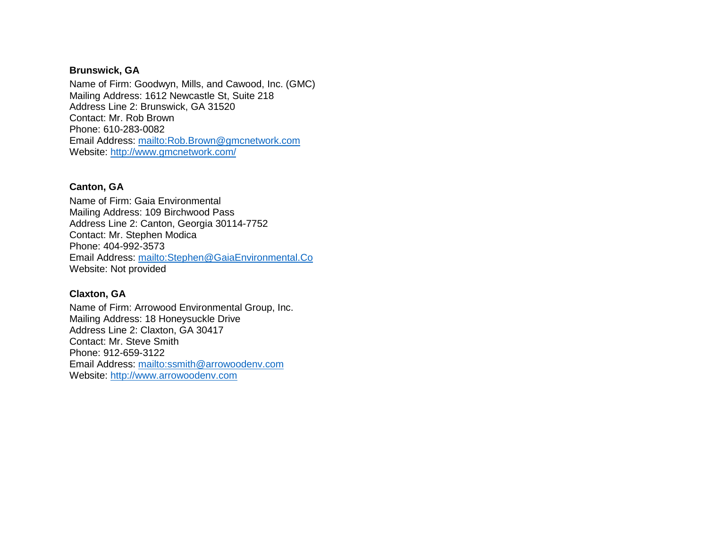## **Brunswick, GA**

Name of Firm: Goodwyn, Mills, and Cawood, Inc. (GMC) Mailing Address: 1612 Newcastle St, Suite 218 Address Line 2: Brunswick, GA 31520 Contact: Mr. Rob Brown Phone: 610-283-0082 Email Address:<mailto:Rob.Brown@gmcnetwork.com> Website:<http://www.gmcnetwork.com/>

#### **Canton, GA**

Name of Firm: Gaia Environmental Mailing Address: 109 Birchwood Pass Address Line 2: Canton, Georgia 30114-7752 Contact: Mr. Stephen Modica Phone: 404-992-3573 Email Address:<mailto:Stephen@GaiaEnvironmental.Co> Website: Not provided

## **Claxton, GA**

Name of Firm: Arrowood Environmental Group, Inc. Mailing Address: 18 Honeysuckle Drive Address Line 2: Claxton, GA 30417 Contact: Mr. Steve Smith Phone: 912-659-3122 Email Address:<mailto:ssmith@arrowoodenv.com> Website: [http://www.arrowoodenv.com](http://www.arrowoodenv.com/)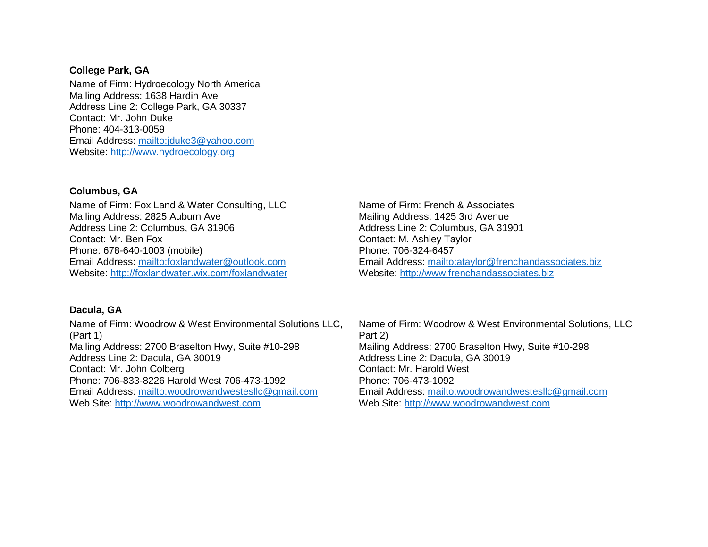#### **College Park, GA**

Name of Firm: Hydroecology North America Mailing Address: 1638 Hardin Ave Address Line 2: College Park, GA 30337 Contact: Mr. John Duke Phone: 404-313-0059 Email Address:<mailto:jduke3@yahoo.com> Website: [http://www.hydroecology.org](http://www.hydroecology.org/)

#### **Columbus, GA**

Name of Firm: Fox Land & Water Consulting, LLC Mailing Address: 2825 Auburn Ave Address Line 2: Columbus, GA 31906 Contact: Mr. Ben Fox Phone: 678-640-1003 (mobile) Email Address:<mailto:foxlandwater@outlook.com> Website:<http://foxlandwater.wix.com/foxlandwater>

#### **Dacula, GA**

Name of Firm: Woodrow & West Environmental Solutions LLC, (Part 1) Mailing Address: 2700 Braselton Hwy, Suite #10-298 Address Line 2: Dacula, GA 30019 Contact: Mr. John Colberg Phone: 706-833-8226 Harold West 706-473-1092 Email Address:<mailto:woodrowandwestesllc@gmail.com> Web Site: [http://www.woodrowandwest.com](http://www.woodrowandwest.com/)

Name of Firm: French & Associates Mailing Address: 1425 3rd Avenue Address Line 2: Columbus, GA 31901 Contact: M. Ashley Taylor Phone: 706-324-6457 Email Address:<mailto:ataylor@frenchandassociates.biz> Website: [http://www.frenchandassociates.biz](http://www.frenchandassociates.biz/)

Name of Firm: Woodrow & West Environmental Solutions, LLC Part 2) Mailing Address: 2700 Braselton Hwy, Suite #10-298 Address Line 2: Dacula, GA 30019 Contact: Mr. Harold West Phone: 706-473-1092 Email Address:<mailto:woodrowandwestesllc@gmail.com> Web Site: [http://www.woodrowandwest.com](http://www.woodrowandwest.com/)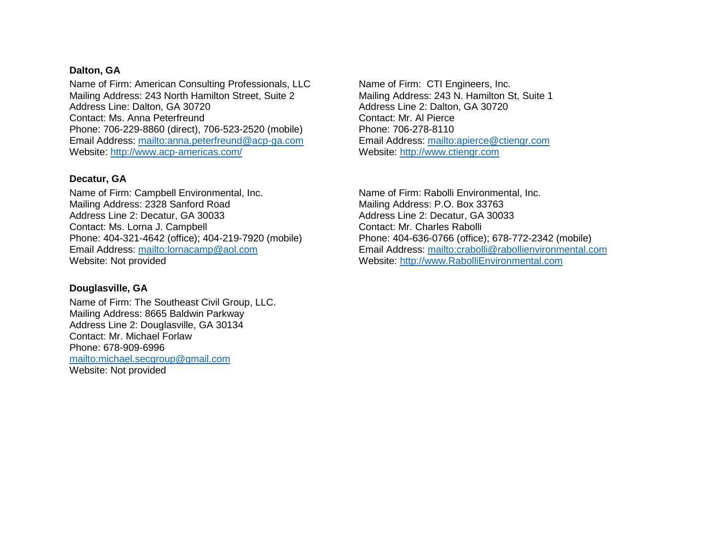#### **Dalton, GA**

Name of Firm: American Consulting Professionals, LLC Mailing Address: 243 North Hamilton Street, Suite 2 Address Line: Dalton, GA 30720 Contact: Ms. Anna Peterfreund Phone: 706-229-8860 (direct), 706-523-2520 (mobile) Email Address:<mailto:anna.peterfreund@acp-ga.com> Website:<http://www.acp-americas.com/>

#### **Decatur, GA**

Name of Firm: Campbell Environmental, Inc. Mailing Address: 2328 Sanford Road Address Line 2: Decatur, GA 30033 Contact: Ms. Lorna J. Campbell Phone: 404-321-4642 (office); 404-219-7920 (mobile) Email Address:<mailto:lornacamp@aol.com> Website: Not provided

#### **Douglasville, GA**

Name of Firm: The Southeast Civil Group, LLC. Mailing Address: 8665 Baldwin Parkway Address Line 2: Douglasville, GA 30134 Contact: Mr. Michael Forlaw Phone: 678-909-6996 <mailto:michael.secgroup@gmail.com> Website: Not provided

Name of Firm: CTI Engineers, Inc. Mailing Address: 243 N. Hamilton St, Suite 1 Address Line 2: Dalton, GA 30720 Contact: Mr. Al Pierce Phone: 706-278-8110 Email Address:<mailto:apierce@ctiengr.com> Website: [http://www.ctiengr.com](http://www.ctiengr.com/)

Name of Firm: Rabolli Environmental, Inc. Mailing Address: P.O. Box 33763 Address Line 2: Decatur, GA 30033 Contact: Mr. Charles Rabolli Phone: 404-636-0766 (office); 678-772-2342 (mobile) Email Address:<mailto:crabolli@rabollienvironmental.com> Website: [http://www.RabolliEnvironmental.com](http://www.rabollienvironmental.com/)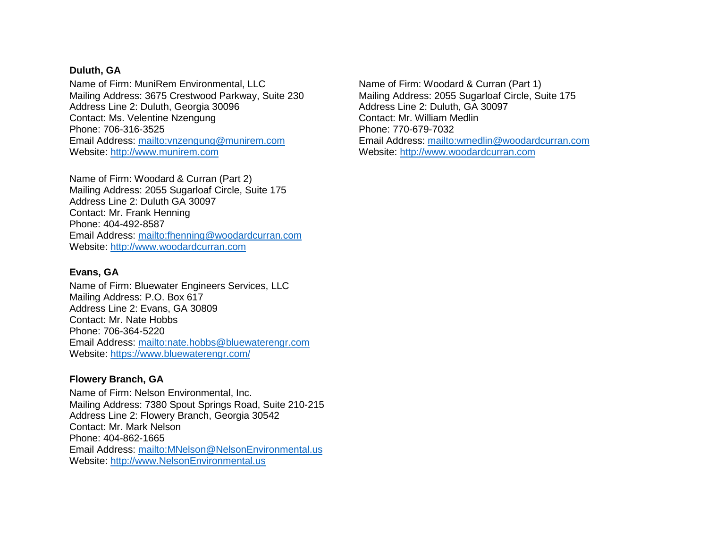#### **Duluth, GA**

Name of Firm: MuniRem Environmental, LLC Mailing Address: 3675 Crestwood Parkway, Suite 230 Address Line 2: Duluth, Georgia 30096 Contact: Ms. Velentine Nzengung Phone: 706-316-3525 Email Address:<mailto:vnzengung@munirem.com> Website: [http://www.munirem.com](http://www.munirem.com/)

Name of Firm: Woodard & Curran (Part 2) Mailing Address: 2055 Sugarloaf Circle, Suite 175 Address Line 2: Duluth GA 30097 Contact: Mr. Frank Henning Phone: 404-492-8587 Email Address:<mailto:fhenning@woodardcurran.com> Website: [http://www.woodardcurran.com](http://www.woodardcurran.com/)

#### **Evans, GA**

Name of Firm: Bluewater Engineers Services, LLC Mailing Address: P.O. Box 617 Address Line 2: Evans, GA 30809 Contact: Mr. Nate Hobbs Phone: 706-364-5220 Email Address:<mailto:nate.hobbs@bluewaterengr.com> Website:<https://www.bluewaterengr.com/>

### **Flowery Branch, GA**

Name of Firm: Nelson Environmental, Inc. Mailing Address: 7380 Spout Springs Road, Suite 210-215 Address Line 2: Flowery Branch, Georgia 30542 Contact: Mr. Mark Nelson Phone: 404-862-1665 Email Address:<mailto:MNelson@NelsonEnvironmental.us> Website: [http://www.NelsonEnvironmental.us](http://www.nelsonenvironmental.us/)

Name of Firm: Woodard & Curran (Part 1) Mailing Address: 2055 Sugarloaf Circle, Suite 175 Address Line 2: Duluth, GA 30097 Contact: Mr. William Medlin Phone: 770-679-7032 Email Address:<mailto:wmedlin@woodardcurran.com> Website: [http://www.woodardcurran.com](http://www.woodardcurran.com/)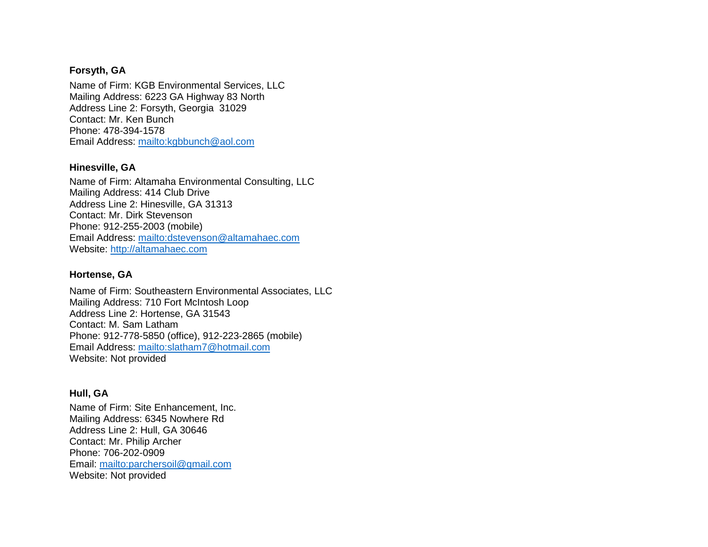## **Forsyth, GA**

Name of Firm: KGB Environmental Services, LLC Mailing Address: 6223 GA Highway 83 North Address Line 2: Forsyth, Georgia 31029 Contact: Mr. Ken Bunch Phone: 478-394-1578 Email Address:<mailto:kgbbunch@aol.com>

## **Hinesville, GA**

Name of Firm: Altamaha Environmental Consulting, LLC Mailing Address: 414 Club Drive Address Line 2: Hinesville, GA 31313 Contact: Mr. Dirk Stevenson Phone: 912-255-2003 (mobile) Email Address:<mailto:dstevenson@altamahaec.com> Website: [http://altamahaec.com](http://altamahaec.com/)

#### **Hortense, GA**

Name of Firm: Southeastern Environmental Associates, LLC Mailing Address: 710 Fort McIntosh Loop Address Line 2: Hortense, GA 31543 Contact: M. Sam Latham Phone: 912-778-5850 (office), 912-223-2865 (mobile) Email Address:<mailto:slatham7@hotmail.com> Website: Not provided

#### **Hull, GA**

Name of Firm: Site Enhancement, Inc. Mailing Address: 6345 Nowhere Rd Address Line 2: Hull, GA 30646 Contact: Mr. Philip Archer Phone: 706-202-0909 Email:<mailto:parchersoil@gmail.com> Website: Not provided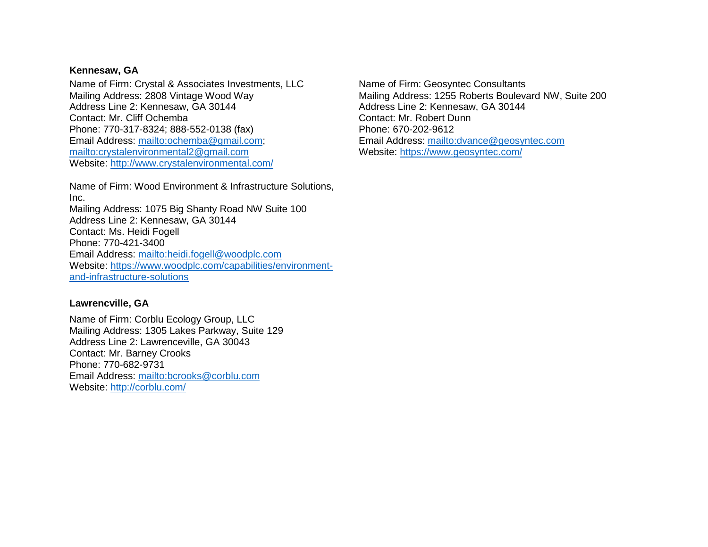## **Kennesaw, GA**

Name of Firm: Crystal & Associates Investments, LLC Mailing Address: 2808 Vintage Wood Way Address Line 2: Kennesaw, GA 30144 Contact: Mr. Cliff Ochemba Phone: 770-317-8324; 888-552-0138 (fax) Email Address: [mailto:ochemba@gmail.com;](mailto:ochemba@gmail.com) <mailto:crystalenvironmental2@gmail.com> Website:<http://www.crystalenvironmental.com/>

Name of Firm: Wood Environment & Infrastructure Solutions, Inc. Mailing Address: 1075 Big Shanty Road NW Suite 100 Address Line 2: Kennesaw, GA 30144 Contact: Ms. Heidi Fogell Phone: 770-421-3400 Email Address:<mailto:heidi.fogell@woodplc.com> Website: [https://www.woodplc.com/capabilities/environment](https://www.woodplc.com/capabilities/environment-and-infrastructure-solutions)[and-infrastructure-solutions](https://www.woodplc.com/capabilities/environment-and-infrastructure-solutions)

#### **Lawrencville, GA**

Name of Firm: Corblu Ecology Group, LLC Mailing Address: 1305 Lakes Parkway, Suite 129 Address Line 2: Lawrenceville, GA 30043 Contact: Mr. Barney Crooks Phone: 770-682-9731 Email Address:<mailto:bcrooks@corblu.com> Website:<http://corblu.com/>

Name of Firm: Geosyntec Consultants Mailing Address: 1255 Roberts Boulevard NW, Suite 200 Address Line 2: Kennesaw, GA 30144 Contact: Mr. Robert Dunn Phone: 670-202-9612 Email Address:<mailto:dvance@geosyntec.com> Website:<https://www.geosyntec.com/>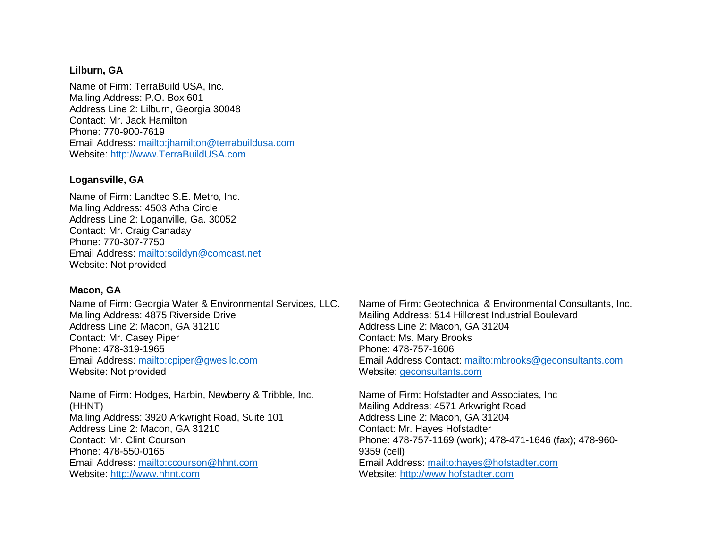#### **Lilburn, GA**

Name of Firm: TerraBuild USA, Inc. Mailing Address: P.O. Box 601 Address Line 2: Lilburn, Georgia 30048 Contact: Mr. Jack Hamilton Phone: 770-900-7619 Email Address:<mailto:jhamilton@terrabuildusa.com> Website: [http://www.TerraBuildUSA.com](http://www.terrabuildusa.com/)

#### **Logansville, GA**

Name of Firm: Landtec S.E. Metro, Inc. Mailing Address: 4503 Atha Circle Address Line 2: Loganville, Ga. 30052 Contact: Mr. Craig Canaday Phone: 770-307-7750 Email Address:<mailto:soildyn@comcast.net> Website: Not provided

#### **Macon, GA**

Name of Firm: Georgia Water & Environmental Services, LLC. Mailing Address: 4875 Riverside Drive Address Line 2: Macon, GA 31210 Contact: Mr. Casey Piper Phone: 478-319-1965 Email Address:<mailto:cpiper@gwesllc.com> Website: Not provided

Name of Firm: Hodges, Harbin, Newberry & Tribble, Inc. (HHNT) Mailing Address: 3920 Arkwright Road, Suite 101 Address Line 2: Macon, GA 31210 Contact: Mr. Clint Courson Phone: 478-550-0165 Email Address:<mailto:ccourson@hhnt.com> Website: [http://www.hhnt.com](http://www.hhnt.com/)

Name of Firm: Geotechnical & Environmental Consultants, Inc. Mailing Address: 514 Hillcrest Industrial Boulevard Address Line 2: Macon, GA 31204 Contact: Ms. Mary Brooks Phone: 478-757-1606 Email Address Contact:<mailto:mbrooks@geconsultants.com> Website: [geconsultants.com](http://www.geconsultants.com/)

Name of Firm: Hofstadter and Associates, Inc Mailing Address: 4571 Arkwright Road Address Line 2: Macon, GA 31204 Contact: Mr. Hayes Hofstadter Phone: 478-757-1169 (work); 478-471-1646 (fax); 478-960- 9359 (cell) Email Address:<mailto:hayes@hofstadter.com> Website: [http://www.hofstadter.com](http://www.hofstadter.com/)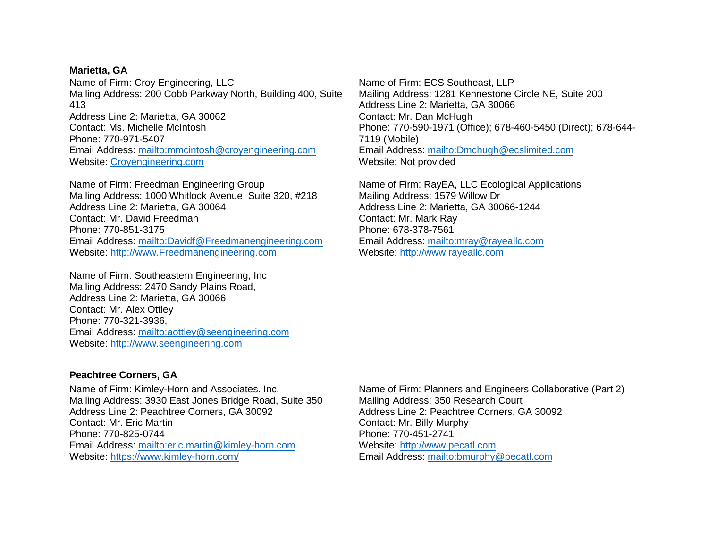#### **Marietta, GA**

Name of Firm: Croy Engineering, LLC Mailing Address: 200 Cobb Parkway North, Building 400, Suite 413 Address Line 2: Marietta, GA 30062 Contact: Ms. Michelle McIntosh Phone: 770-971-5407 Email Address:<mailto:mmcintosh@croyengineering.com> Website: [Croyengineering.com](http://www.croyengineering.com/)

Name of Firm: Freedman Engineering Group Mailing Address: 1000 Whitlock Avenue, Suite 320, #218 Address Line 2: Marietta, GA 30064 Contact: Mr. David Freedman Phone: 770-851-3175 Email Address:<mailto:Davidf@Freedmanengineering.com> Website: [http://www.Freedmanengineering.com](http://www.freedmanengineering.com/)

Name of Firm: Southeastern Engineering, Inc Mailing Address: 2470 Sandy Plains Road, Address Line 2: Marietta, GA 30066 Contact: Mr. Alex Ottley Phone: 770-321-3936, Email Address:<mailto:aottley@seengineering.com> Website: [http://www.seengineering.com](http://www.seengineering.com/)

Name of Firm: ECS Southeast, LLP Mailing Address: 1281 Kennestone Circle NE, Suite 200 Address Line 2: Marietta, GA 30066 Contact: Mr. Dan McHugh Phone: 770-590-1971 (Office); 678-460-5450 (Direct); 678-644- 7119 (Mobile) Email Address:<mailto:Dmchugh@ecslimited.com> Website: Not provided

Name of Firm: RayEA, LLC Ecological Applications Mailing Address: 1579 Willow Dr Address Line 2: Marietta, GA 30066-1244 Contact: Mr. Mark Ray Phone: 678-378-7561 Email Address:<mailto:mray@rayeallc.com> Website: [http://www.rayeallc.com](http://www.rayeallc.com/)

## **Peachtree Corners, GA**

Name of Firm: Kimley-Horn and Associates. Inc. Mailing Address: 3930 East Jones Bridge Road, Suite 350 Address Line 2: Peachtree Corners, GA 30092 Contact: Mr. Eric Martin Phone: 770-825-0744 Email Address:<mailto:eric.martin@kimley-horn.com> Website:<https://www.kimley-horn.com/>

Name of Firm: Planners and Engineers Collaborative (Part 2) Mailing Address: 350 Research Court Address Line 2: Peachtree Corners, GA 30092 Contact: Mr. Billy Murphy Phone: 770-451-2741 Website: [http://www.pecatl.com](http://www.pecatl.com/) Email Address:<mailto:bmurphy@pecatl.com>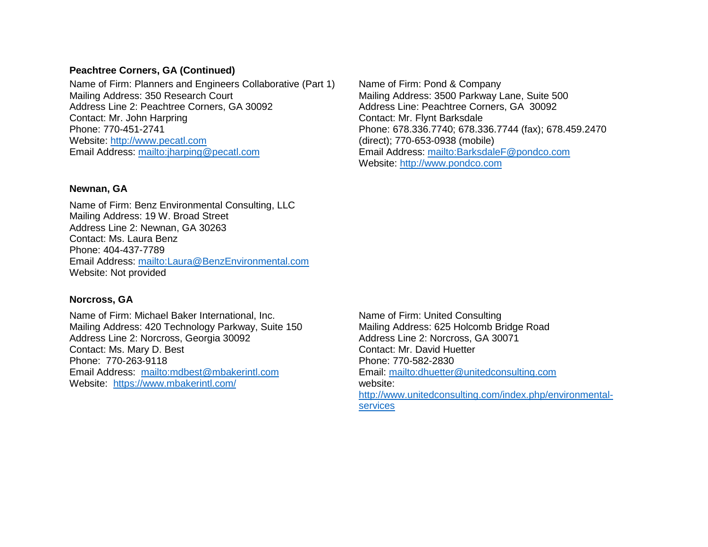#### **Peachtree Corners, GA (Continued)**

Name of Firm: Planners and Engineers Collaborative (Part 1) Mailing Address: 350 Research Court Address Line 2: Peachtree Corners, GA 30092 Contact: Mr. John Harpring Phone: 770-451-2741 Website: [http://www.pecatl.com](http://www.pecatl.com/) Email Address:<mailto:jharping@pecatl.com>

#### **Newnan, GA**

Name of Firm: Benz Environmental Consulting, LLC Mailing Address: 19 W. Broad Street Address Line 2: Newnan, GA 30263 Contact: Ms. Laura Benz Phone: 404-437-7789 Email Address:<mailto:Laura@BenzEnvironmental.com> Website: Not provided

#### **Norcross, GA**

Name of Firm: Michael Baker International, Inc. Mailing Address: 420 Technology Parkway, Suite 150 Address Line 2: Norcross, Georgia 30092 Contact: Ms. Mary D. Best Phone: 770-263-9118 Email Address: <mailto:mdbest@mbakerintl.com> Website: <https://www.mbakerintl.com/>

Name of Firm: Pond & Company Mailing Address: 3500 Parkway Lane, Suite 500 Address Line: Peachtree Corners, GA 30092 Contact: Mr. Flynt Barksdale Phone: 678.336.7740; 678.336.7744 (fax); 678.459.2470 (direct); 770-653-0938 (mobile) Email Address:<mailto:BarksdaleF@pondco.com> Website: [http://www.pondco.com](http://www.pondco.com/)

Name of Firm: United Consulting Mailing Address: 625 Holcomb Bridge Road Address Line 2: Norcross, GA 30071 Contact: Mr. David Huetter Phone: 770-582-2830 Email:<mailto:dhuetter@unitedconsulting.com> website: [http://www.unitedconsulting.com/index.php/environmental](http://www.unitedconsulting.com/index.php/environmental-services)[services](http://www.unitedconsulting.com/index.php/environmental-services)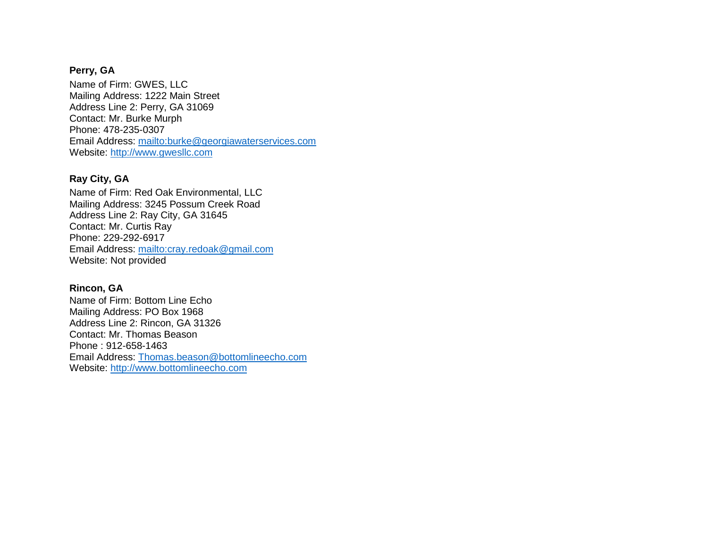## **Perry, GA**

Name of Firm: GWES, LLC Mailing Address: 1222 Main Street Address Line 2: Perry, GA 31069 Contact: Mr. Burke Murph Phone: 478-235-0307 Email Address:<mailto:burke@georgiawaterservices.com> Website: [http://www.gwesllc.com](http://www.gwesllc.com/)

# **Ray City, GA**

Name of Firm: Red Oak Environmental, LLC Mailing Address: 3245 Possum Creek Road Address Line 2: Ray City, GA 31645 Contact: Mr. Curtis Ray Phone: 229-292-6917 Email Address:<mailto:cray.redoak@gmail.com> Website: Not provided

# **Rincon, GA**

Name of Firm: Bottom Line Echo Mailing Address: PO Box 1968 Address Line 2: Rincon, GA 31326 Contact: Mr. Thomas Beason Phone : 912-658-1463 Email Address: [Thomas.beason@bottomlineecho.com](mailto:Thomas.beason@bottomlineecho.com) Website: [http://www.bottomlineecho.com](http://www.bottomlineecho.com/)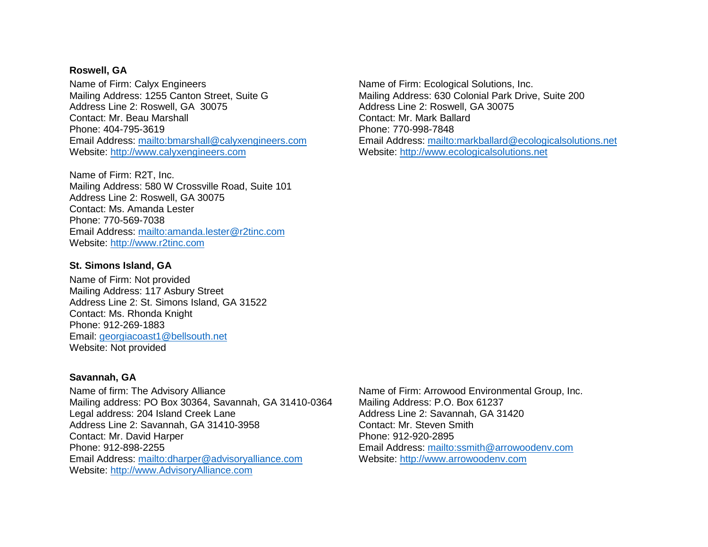#### **Roswell, GA**

Name of Firm: Calyx Engineers Mailing Address: 1255 Canton Street, Suite G Address Line 2: Roswell, GA 30075 Contact: Mr. Beau Marshall Phone: 404-795-3619 Email Address:<mailto:bmarshall@calyxengineers.com> Website: [http://www.calyxengineers.com](http://www.calyxengineers.com/)

Name of Firm: R2T, Inc. Mailing Address: 580 W Crossville Road, Suite 101 Address Line 2: Roswell, GA 30075 Contact: Ms. Amanda Lester Phone: 770-569-7038 Email Address:<mailto:amanda.lester@r2tinc.com> Website: [http://www.r2tinc.com](http://www.r2tinc.com/)

#### **St. Simons Island, GA**

Name of Firm: Not provided Mailing Address: 117 Asbury Street Address Line 2: St. Simons Island, GA 31522 Contact: Ms. Rhonda Knight Phone: 912-269-1883 Email: [georgiacoast1@bellsouth.net](mailto:georgiacoast1@bellsouth.net) Website: Not provided

#### **Savannah, GA**

Name of firm: The Advisory Alliance Mailing address: PO Box 30364, Savannah, GA 31410-0364 Legal address: 204 Island Creek Lane Address Line 2: Savannah, GA 31410-3958 Contact: Mr. David Harper Phone: 912-898-2255 Email Address:<mailto:dharper@advisoryalliance.com> Website: [http://www.AdvisoryAlliance.com](http://www.advisoryalliance.com/)

Name of Firm: Ecological Solutions, Inc. Mailing Address: 630 Colonial Park Drive, Suite 200 Address Line 2: Roswell, GA 30075 Contact: Mr. Mark Ballard Phone: 770-998-7848 Email Address:<mailto:markballard@ecologicalsolutions.net> Website: [http://www.ecologicalsolutions.net](http://www.ecologicalsolutions.net/)

Name of Firm: Arrowood Environmental Group, Inc. Mailing Address: P.O. Box 61237 Address Line 2: Savannah, GA 31420 Contact: Mr. Steven Smith Phone: 912-920-2895 Email Address:<mailto:ssmith@arrowoodenv.com> Website: [http://www.arrowoodenv.com](http://www.arrowoodenv.com/)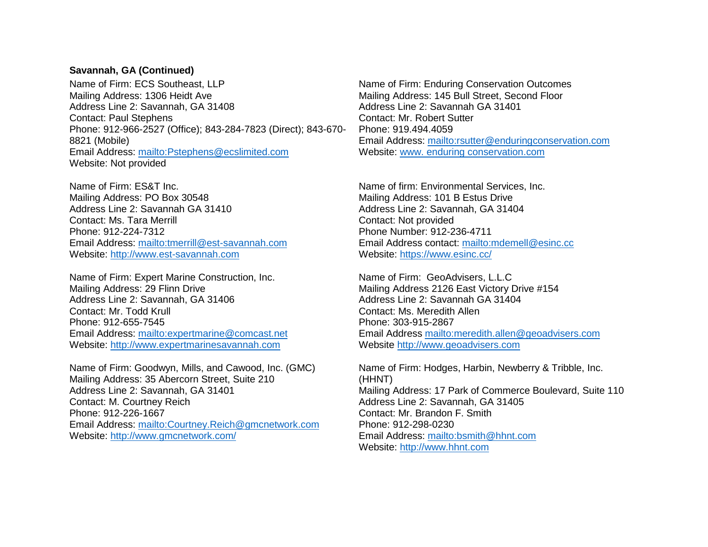### **Savannah, GA (Continued)**

Name of Firm: ECS Southeast, LLP Mailing Address: 1306 Heidt Ave Address Line 2: Savannah, GA 31408 Contact: Paul Stephens Phone: 912-966-2527 (Office); 843-284-7823 (Direct); 843-670- 8821 (Mobile) Email Address:<mailto:Pstephens@ecslimited.com> Website: Not provided

Name of Firm: ES&T Inc. Mailing Address: PO Box 30548 Address Line 2: Savannah GA 31410 Contact: Ms. Tara Merrill Phone: 912-224-7312 Email Address:<mailto:tmerrill@est-savannah.com> Website: [http://www.est-savannah.com](http://www.est-savannah.com/)

Name of Firm: Expert Marine Construction, Inc. Mailing Address: 29 Flinn Drive Address Line 2: Savannah, GA 31406 Contact: Mr. Todd Krull Phone: 912-655-7545 Email Address:<mailto:expertmarine@comcast.net> Website: [http://www.expertmarinesavannah.com](http://www.expertmarinesavannah.com/)

Name of Firm: Goodwyn, Mills, and Cawood, Inc. (GMC) Mailing Address: 35 Abercorn Street, Suite 210 Address Line 2: Savannah, GA 31401 Contact: M. Courtney Reich Phone: 912-226-1667 Email Address:<mailto:Courtney.Reich@gmcnetwork.com> Website:<http://www.gmcnetwork.com/>

Name of Firm: Enduring Conservation Outcomes Mailing Address: 145 Bull Street, Second Floor Address Line 2: Savannah GA 31401 Contact: Mr. Robert Sutter Phone: 919.494.4059 Email Address:<mailto:rsutter@enduringconservation.com> Website: [www. enduring conservation.com](http://www.enduringconservation.com/)

Name of firm: Environmental Services, Inc. Mailing Address: 101 B Estus Drive Address Line 2: Savannah, GA 31404 Contact: Not provided Phone Number: 912-236-4711 Email Address contact:<mailto:mdemell@esinc.cc> Website:<https://www.esinc.cc/>

Name of Firm: GeoAdvisers, L.L.C Mailing Address 2126 East Victory Drive #154 Address Line 2: Savannah GA 31404 Contact: Ms. Meredith Allen Phone: 303-915-2867 Email Address<mailto:meredith.allen@geoadvisers.com> Website [http://www.geoadvisers.com](http://www.geoadvisers.com/)

Name of Firm: Hodges, Harbin, Newberry & Tribble, Inc. (HHNT) Mailing Address: 17 Park of Commerce Boulevard, Suite 110 Address Line 2: Savannah, GA 31405 Contact: Mr. Brandon F. Smith Phone: 912-298-0230 Email Address:<mailto:bsmith@hhnt.com> Website: [http://www.hhnt.com](http://www.hhnt.com/)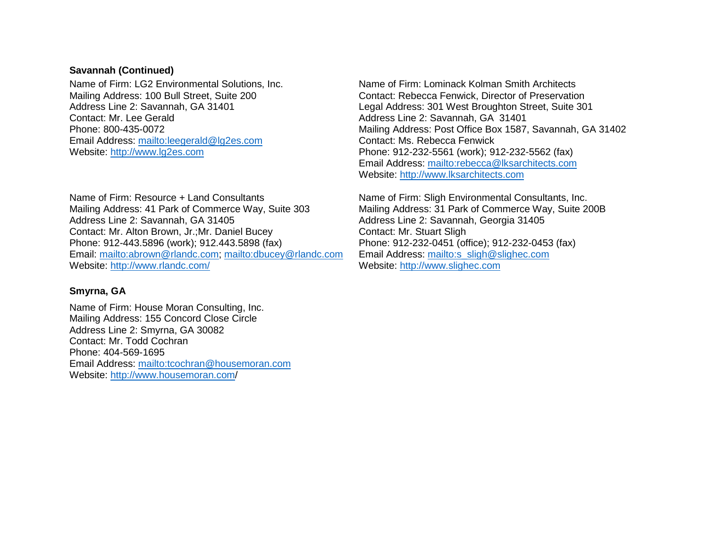### **Savannah (Continued)**

Name of Firm: LG2 Environmental Solutions, Inc. Mailing Address: 100 Bull Street, Suite 200 Address Line 2: Savannah, GA 31401 Contact: Mr. Lee Gerald Phone: 800-435-0072 Email Address:<mailto:leegerald@lg2es.com> Website: [http://www.lg2es.com](http://www.lg2es.com/)

Name of Firm: Resource + Land Consultants Mailing Address: 41 Park of Commerce Way, Suite 303 Address Line 2: Savannah, GA 31405 Contact: Mr. Alton Brown, Jr.;Mr. Daniel Bucey Phone: 912-443.5896 (work); 912.443.5898 (fax) Email: [mailto:abrown@rlandc.com;](mailto:abrown@rlandc.com)<mailto:dbucey@rlandc.com> Website:<http://www.rlandc.com/>

## **Smyrna, GA**

Name of Firm: House Moran Consulting, Inc. Mailing Address: 155 Concord Close Circle Address Line 2: Smyrna, GA 30082 Contact: Mr. Todd Cochran Phone: 404-569-1695 Email Address:<mailto:tcochran@housemoran.com> Website:<http://www.housemoran.com/>

Name of Firm: Lominack Kolman Smith Architects Contact: Rebecca Fenwick, Director of Preservation Legal Address: 301 West Broughton Street, Suite 301 Address Line 2: Savannah, GA 31401 Mailing Address: Post Office Box 1587, Savannah, GA 31402 Contact: Ms. Rebecca Fenwick Phone: 912-232-5561 (work); 912-232-5562 (fax) Email Address:<mailto:rebecca@lksarchitects.com> Website: [http://www.lksarchitects.com](http://www.lksarchitects.com/)

Name of Firm: Sligh Environmental Consultants, Inc. Mailing Address: 31 Park of Commerce Way, Suite 200B Address Line 2: Savannah, Georgia 31405 Contact: Mr. Stuart Sligh Phone: 912-232-0451 (office); 912-232-0453 (fax) Email Address: [mailto:s\\_sligh@slighec.com](mailto:s_sligh@slighec.com) Website: [http://www.slighec.com](http://www.slighec.com/)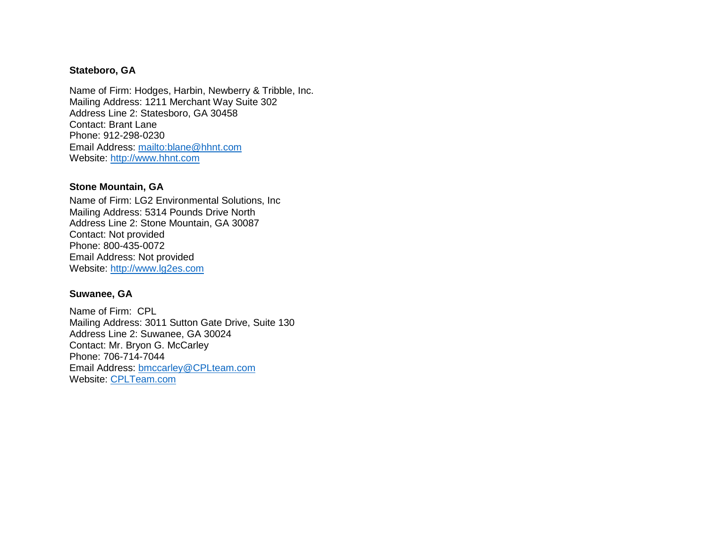### **Stateboro, GA**

Name of Firm: Hodges, Harbin, Newberry & Tribble, Inc. Mailing Address: 1211 Merchant Way Suite 302 Address Line 2: Statesboro, GA 30458 Contact: Brant Lane Phone: 912-298-0230 Email Address:<mailto:blane@hhnt.com> Website: [http://www.hhnt.com](http://www.hhnt.com/)

### **Stone Mountain, GA**

Name of Firm: LG2 Environmental Solutions, Inc Mailing Address: 5314 Pounds Drive North Address Line 2: Stone Mountain, GA 30087 Contact: Not provided Phone: 800-435-0072 Email Address: Not provided Website: [http://www.lg2es.com](http://www.lg2es.com/)

## **Suwanee, GA**

Name of Firm: CPL Mailing Address: 3011 Sutton Gate Drive, Suite 130 Address Line 2: Suwanee, GA 30024 Contact: Mr. Bryon G. McCarley Phone: 706-714-7044 Email Address: [bmccarley@CPLteam.com](mailto:bmccarley@CPLteam.com) Website: [CPLTeam.com](http://www.cplteam.com/)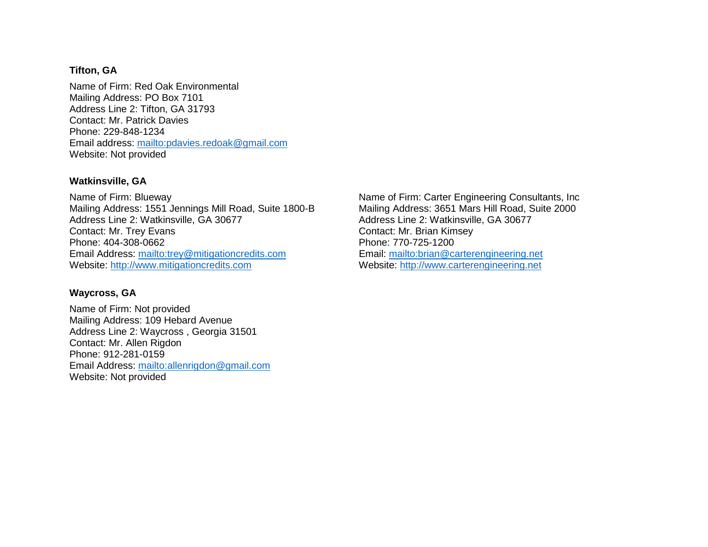### **Tifton, GA**

Name of Firm: Red Oak Environmental Mailing Address: PO Box 7101 Address Line 2: Tifton, GA 31793 Contact: Mr. Patrick Davies Phone: 229-848-1234 Email address:<mailto:pdavies.redoak@gmail.com> Website: Not provided

## **Watkinsville, GA**

Name of Firm: Blueway Mailing Address: 1551 Jennings Mill Road, Suite 1800-B Address Line 2: Watkinsville, GA 30677 Contact: Mr. Trey Evans Phone: 404-308-0662 Email Address:<mailto:trey@mitigationcredits.com> Website: [http://www.mitigationcredits.com](http://www.mitigationcredits.com/)

### **Waycross, GA**

Name of Firm: Not provided Mailing Address: 109 Hebard Avenue Address Line 2: Waycross , Georgia 31501 Contact: Mr. Allen Rigdon Phone: 912-281-0159 Email Address:<mailto:allenrigdon@gmail.com> Website: Not provided

Name of Firm: Carter Engineering Consultants, Inc Mailing Address: 3651 Mars Hill Road, Suite 2000 Address Line 2: Watkinsville, GA 30677 Contact: Mr. Brian Kimsey Phone: 770-725-1200 Email:<mailto:brian@carterengineering.net> Website: [http://www.carterengineering.net](http://www.carterengineering.net/)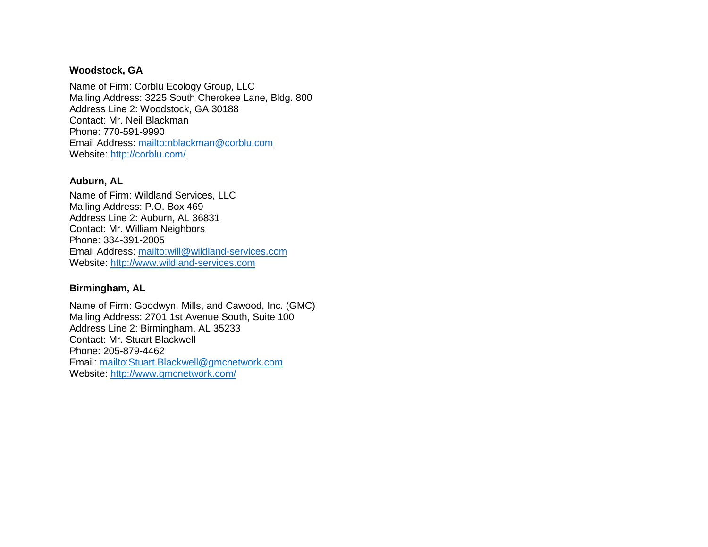### **Woodstock, GA**

Name of Firm: Corblu Ecology Group, LLC Mailing Address: 3225 South Cherokee Lane, Bldg. 800 Address Line 2: Woodstock, GA 30188 Contact: Mr. Neil Blackman Phone: 770-591-9990 Email Address:<mailto:nblackman@corblu.com> Website:<http://corblu.com/>

### **Auburn, AL**

Name of Firm: Wildland Services, LLC Mailing Address: P.O. Box 469 Address Line 2: Auburn, AL 36831 Contact: Mr. William Neighbors Phone: 334-391-2005 Email Address:<mailto:will@wildland-services.com> Website: [http://www.wildland-services.com](http://www.wildland-services.com/)

## **Birmingham, AL**

Name of Firm: Goodwyn, Mills, and Cawood, Inc. (GMC) Mailing Address: 2701 1st Avenue South, Suite 100 Address Line 2: Birmingham, AL 35233 Contact: Mr. Stuart Blackwell Phone: 205-879-4462 Email:<mailto:Stuart.Blackwell@gmcnetwork.com> Website:<http://www.gmcnetwork.com/>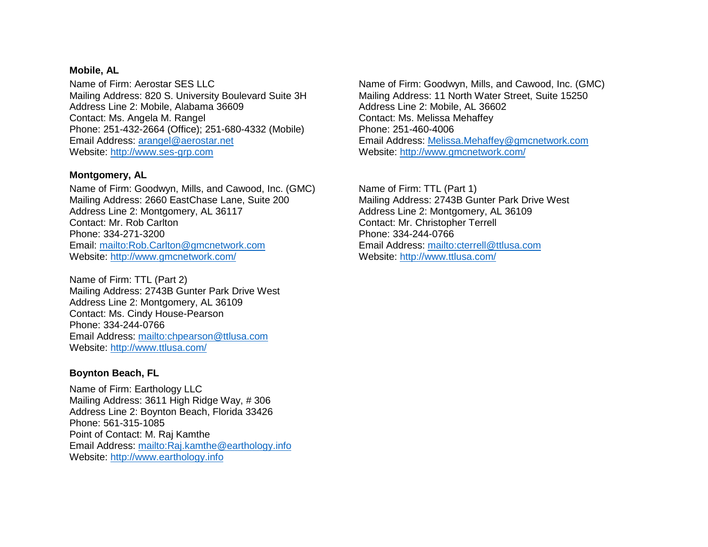#### **Mobile, AL**

Name of Firm: Aerostar SES LLC Mailing Address: 820 S. University Boulevard Suite 3H Address Line 2: Mobile, Alabama 36609 Contact: Ms. Angela M. Rangel Phone: 251-432-2664 (Office); 251-680-4332 (Mobile) Email Address: arangel@aerostar.net Website: [http://www.ses-grp.com](http://www.ses-grp.com/)

### **Montgomery, AL**

Name of Firm: Goodwyn, Mills, and Cawood, Inc. (GMC) Mailing Address: 2660 EastChase Lane, Suite 200 Address Line 2: Montgomery, AL 36117 Contact: Mr. Rob Carlton Phone: 334-271-3200 Email:<mailto:Rob.Carlton@gmcnetwork.com> Website:<http://www.gmcnetwork.com/>

Name of Firm: TTL (Part 2) Mailing Address: 2743B Gunter Park Drive West Address Line 2: Montgomery, AL 36109 Contact: Ms. Cindy House-Pearson Phone: 334-244-0766 Email Address:<mailto:chpearson@ttlusa.com> Website:<http://www.ttlusa.com/>

## **Boynton Beach, FL**

Name of Firm: Earthology LLC Mailing Address: 3611 High Ridge Way, # 306 Address Line 2: Boynton Beach, Florida 33426 Phone: 561-315-1085 Point of Contact: M. Raj Kamthe Email Address:<mailto:Raj.kamthe@earthology.info> Website: [http://www.earthology.info](http://www.earthology.info/)

Name of Firm: Goodwyn, Mills, and Cawood, Inc. (GMC) Mailing Address: 11 North Water Street, Suite 15250 Address Line 2: Mobile, AL 36602 Contact: Ms. Melissa Mehaffey Phone: 251-460-4006 Email Address: [Melissa.Mehaffey@gmcnetwork.com](mailto:Melissa.Mehaffey@gmcnetwork.com) Website:<http://www.gmcnetwork.com/>

Name of Firm: TTL (Part 1) Mailing Address: 2743B Gunter Park Drive West Address Line 2: Montgomery, AL 36109 Contact: Mr. Christopher Terrell Phone: 334-244-0766 Email Address:<mailto:cterrell@ttlusa.com> Website:<http://www.ttlusa.com/>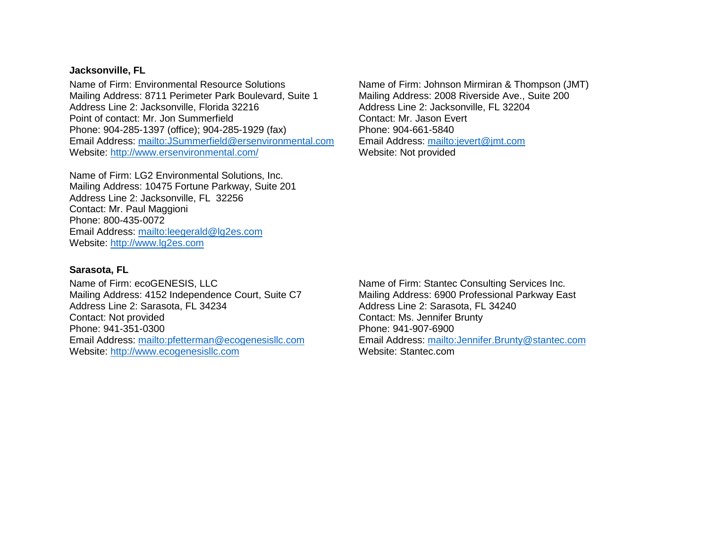#### **Jacksonville, FL**

Name of Firm: Environmental Resource Solutions Mailing Address: 8711 Perimeter Park Boulevard, Suite 1 Address Line 2: Jacksonville, Florida 32216 Point of contact: Mr. Jon Summerfield Phone: 904-285-1397 (office); 904-285-1929 (fax) Email Address:<mailto:JSummerfield@ersenvironmental.com> Website:<http://www.ersenvironmental.com/>

Name of Firm: LG2 Environmental Solutions, Inc. Mailing Address: 10475 Fortune Parkway, Suite 201 Address Line 2: Jacksonville, FL 32256 Contact: Mr. Paul Maggioni Phone: 800-435-0072 Email Address:<mailto:leegerald@lg2es.com> Website: [http://www.lg2es.com](http://www.lg2es.com/)

**Sarasota, FL**

Name of Firm: ecoGENESIS, LLC Mailing Address: 4152 Independence Court, Suite C7 Address Line 2: Sarasota, FL 34234 Contact: Not provided Phone: 941-351-0300 Email Address:<mailto:pfetterman@ecogenesisllc.com> Website: [http://www.ecogenesisllc.com](http://www.ecogenesisllc.com/)

Name of Firm: Johnson Mirmiran & Thompson (JMT) Mailing Address: 2008 Riverside Ave., Suite 200 Address Line 2: Jacksonville, FL 32204 Contact: Mr. Jason Evert Phone: 904-661-5840 Email Address:<mailto:jevert@jmt.com> Website: Not provided

Name of Firm: Stantec Consulting Services Inc. Mailing Address: 6900 Professional Parkway East Address Line 2: Sarasota, FL 34240 Contact: Ms. Jennifer Brunty Phone: 941-907-6900 Email Address:<mailto:Jennifer.Brunty@stantec.com> Website: Stantec.com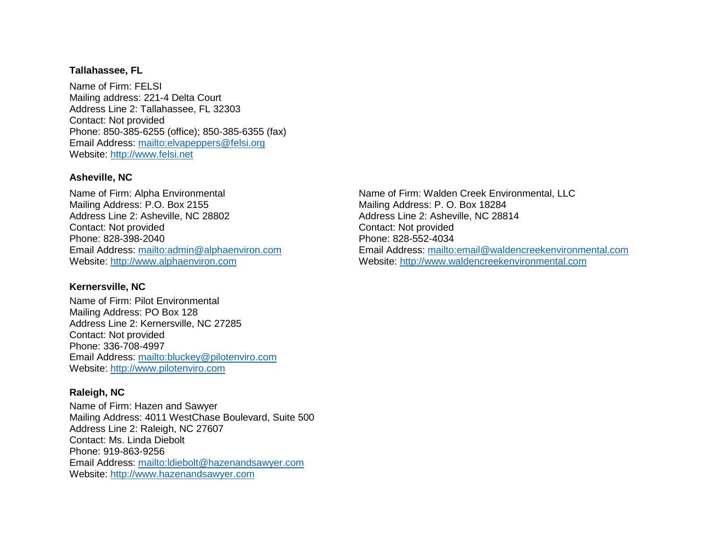#### **Tallahassee, FL**

Name of Firm: FELSI Mailing address: 221-4 Delta Court Address Line 2: Tallahassee, FL 32303 Contact: Not provided Phone: 850-385-6255 (office); 850-385-6355 (fax) Email Address:<mailto:elvapeppers@felsi.org> Website: [http://www.felsi.net](http://www.felsi.net/)

#### **Asheville, NC**

Name of Firm: Alpha Environmental Mailing Address: P.O. Box 2155 Address Line 2: Asheville, NC 28802 Contact: Not provided Phone: 828-398-2040 Email Address:<mailto:admin@alphaenviron.com> Website: [http://www.alphaenviron.com](http://www.alphaenviron.com/)

### **Kernersville, NC**

Name of Firm: Pilot Environmental Mailing Address: PO Box 128 Address Line 2: Kernersville, NC 27285 Contact: Not provided Phone: 336-708-4997 Email Address:<mailto:bluckey@pilotenviro.com> Website: [http://www.pilotenviro.com](http://www.pilotenviro.com/)

#### **Raleigh, NC**

Name of Firm: Hazen and Sawyer Mailing Address: 4011 WestChase Boulevard, Suite 500 Address Line 2: Raleigh, NC 27607 Contact: Ms. Linda Diebolt Phone: 919-863-9256 Email Address:<mailto:ldiebolt@hazenandsawyer.com> Website: [http://www.hazenandsawyer.com](http://www.hazenandsawyer.com/)

Name of Firm: Walden Creek Environmental, LLC Mailing Address: P. O. Box 18284 Address Line 2: Asheville, NC 28814 Contact: Not provided Phone: 828-552-4034 Email Address:<mailto:email@waldencreekenvironmental.com> Website: [http://www.waldencreekenvironmental.com](http://www.waldencreekenvironmental.com/)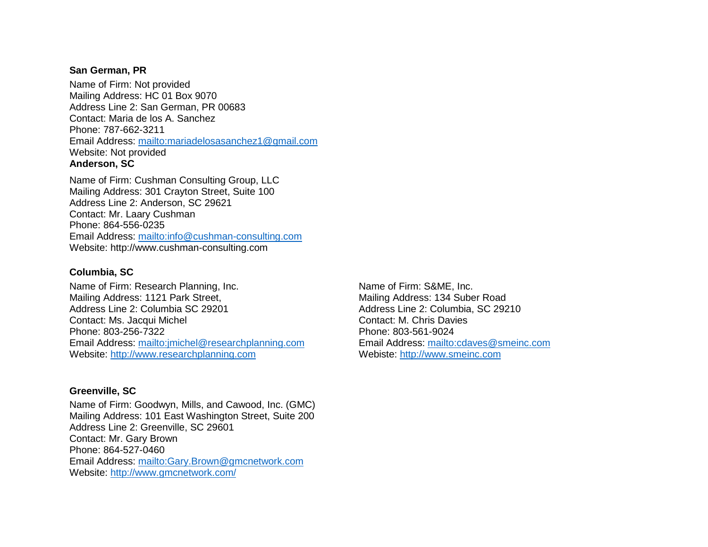#### **San German, PR**

Name of Firm: Not provided Mailing Address: HC 01 Box 9070 Address Line 2: San German, PR 00683 Contact: Maria de los A. Sanchez Phone: 787-662-3211 Email Address:<mailto:mariadelosasanchez1@gmail.com> Website: Not provided **Anderson, SC**

Name of Firm: Cushman Consulting Group, LLC Mailing Address: 301 Crayton Street, Suite 100 Address Line 2: Anderson, SC 29621 Contact: Mr. Laary Cushman Phone: 864-556-0235 Email Address:<mailto:info@cushman-consulting.com> Website: http://www.cushman-consulting.com

### **Columbia, SC**

Name of Firm: Research Planning, Inc. Mailing Address: 1121 Park Street, Address Line 2: Columbia SC 29201 Contact: Ms. Jacqui Michel Phone: 803-256-7322 Email Address:<mailto:jmichel@researchplanning.com> Website: [http://www.researchplanning.com](http://www.researchplanning.com/)

#### **Greenville, SC**

Name of Firm: Goodwyn, Mills, and Cawood, Inc. (GMC) Mailing Address: 101 East Washington Street, Suite 200 Address Line 2: Greenville, SC 29601 Contact: Mr. Gary Brown Phone: 864-527-0460 Email Address:<mailto:Gary.Brown@gmcnetwork.com> Website:<http://www.gmcnetwork.com/>

Name of Firm: S&ME, Inc. Mailing Address: 134 Suber Road Address Line 2: Columbia, SC 29210 Contact: M. Chris Davies Phone: 803-561-9024 Email Address:<mailto:cdaves@smeinc.com> Webiste: [http://www.smeinc.com](http://www.smeinc.com/)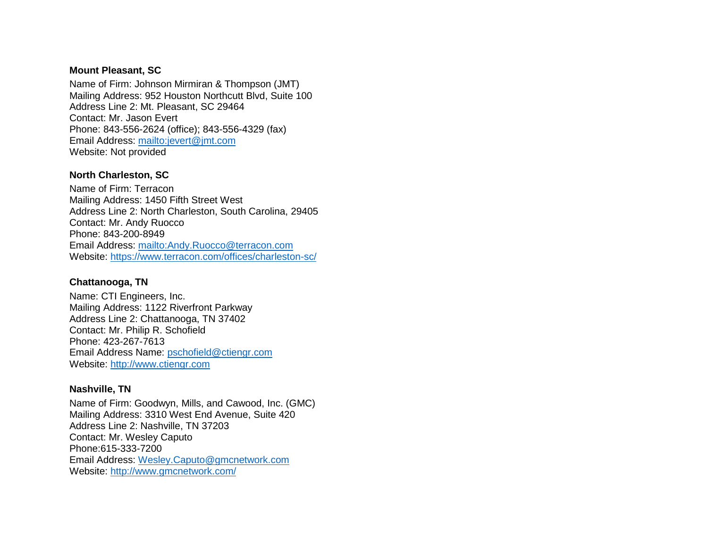### **Mount Pleasant, SC**

Name of Firm: Johnson Mirmiran & Thompson (JMT) Mailing Address: 952 Houston Northcutt Blvd, Suite 100 Address Line 2: Mt. Pleasant, SC 29464 Contact: Mr. Jason Evert Phone: 843-556-2624 (office); 843-556-4329 (fax) Email Address:<mailto:jevert@jmt.com> Website: Not provided

## **North Charleston, SC**

Name of Firm: Terracon Mailing Address: 1450 Fifth Street West Address Line 2: North Charleston, South Carolina, 29405 Contact: Mr. Andy Ruocco Phone: 843-200-8949 Email Address:<mailto:Andy.Ruocco@terracon.com> Website:<https://www.terracon.com/offices/charleston-sc/>

## **Chattanooga, TN**

Name: CTI Engineers, Inc. Mailing Address: 1122 Riverfront Parkway Address Line 2: Chattanooga, TN 37402 Contact: Mr. Philip R. Schofield Phone: 423-267-7613 Email Address Name: [pschofield@ctiengr.com](mailto:pschofield@ctiengr.com) Website: [http://www.ctiengr.com](http://www.ctiengr.com/)

## **Nashville, TN**

Name of Firm: Goodwyn, Mills, and Cawood, Inc. (GMC) Mailing Address: 3310 West End Avenue, Suite 420 Address Line 2: Nashville, TN 37203 Contact: Mr. Wesley Caputo Phone:615-333-7200 Email Address: [Wesley.Caputo@gmcnetwork.com](mailto:Wesley.Caputo@gmcnetwork.com) Website:<http://www.gmcnetwork.com/>